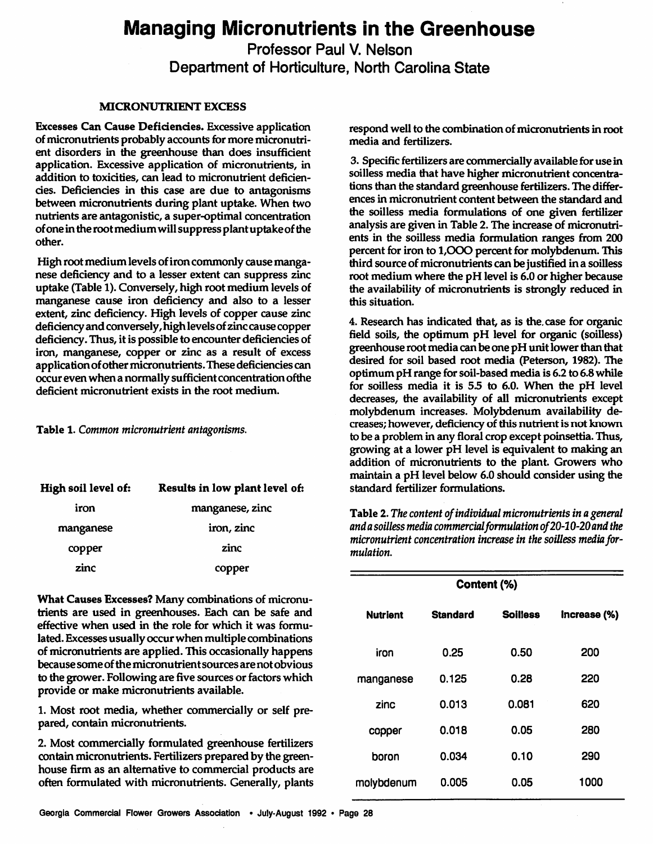# *Managing Micronutrients in the Greenhouse*

*Professor Paul V. Nelson*

*Department of Horticulture, North Carolina State*

#### **MICRONUTRIENT EXCESS**

Excesses Can Cause Deficiencies. Excessive application of micronutrients probably accounts for more micronutrient disorders in the greenhouse than does insufficient application. Excessive application of micronutrients, in addition to toxicities, can lead to micronutrient deficiencies. Deficiencies in this case are due to antagonisms between micronutrients during plant uptake. When two nutrients are antagonistic, a super-optimal concentration ofone in the rootmediumwillsuppress plantuptakeof the other.

High root medium levels of iron commonly cause manganese deficiency and to a lesser extent can suppress zinc uptake (Table 1).Conversely, high root medium levels of manganese cause iron deficiency and also to a lesser extent, zinc deficiency. High levels of copper cause zinc deficiency and conversely, high levels of zinc cause copper deficiency. Thus, it is possible to encounter deficiencies of iron, manganese, copper or zinc as a result of excess application of other micronutrients. These deficiencies can occur even when a normally sufficient concentration of the deficient micronutrient exists in the root medium.

Table 1. **Common micronutrient antagonisms.**

| High soil level of: | Results in low plant level of: |  |
|---------------------|--------------------------------|--|
| iron                | manganese, zinc                |  |
| manganese           | iron, zinc                     |  |
| copper              | zinc                           |  |
| zinc                | copper                         |  |
|                     |                                |  |

*What Causes Excesses? Many combinations of micronu trients are used in greenhouses. Each can be safe and effective when used in the role for which it was formu lated. Excesses usually occurwhenmultiple combinations of micronutrients are applied. This occasionally happens because someofthe micronutrientsources arenotobvious to the grower. Following are five sources or factorswhich provide or make micronutrients available.*

*1. Most root media, whether commercially or self pre pared, contain micronutrients.*

*2. Most commercially formulated greenhouse fertilizers contain micronutrients. Fertilizers prepared by the green house firm as an alternative to commercial products are often formulated with micronutrients. Generally, plants*

 $r$ espond well to the combination of micronutrients in root *media and fertilizers.*

*3. Specific fertilizers are commercially available for use in soilless media that have higher micronutrient concentra tions than the standard greenhouse fertilizers. The differ ences in micronutrient content between the standard and the soilless media formulations of one given fertilizer analysis are given in Table 2. The increase of micronutri ents in the soilless media formulation ranges from 200 percent for iron to 1,000 percent for molybdenum. This third source ofmicronutrients can be justified in a soilless root medium where the pH level is 6.0 or higher because the availability of micronutrients is strongly reduced in this situation.*

*4. Research has indicated that, as is the. case for organic field soils, the optimum pH level for organic (soilless) greenhouse root media can be one pH unitlowerthan that desired for soil based root media (Peterson, 1982). The optimum pH range for soil-based media is 6.2 to 6.8while for soilless media it is 55 to 6.0. When the pH level decreases, the availability of all micronutrients except molybdenum increases. Molybdenum availability de creases; however, deficiency ofthis nutrientis not known to be a problem in any floral crop except poinsettia. Thus, growing at a lower pH level is equivalent to making an addition of micronutrients to the plant. Growers who maintain a pH level below 6.0 should consider using the standard fertilizer formulations.*

Table 2.**The content ofindividual micronutrients inageneral andasoilless media commercialformulation of20-10-20and the micronutrient** concentration increase in the soilless media for**mulation.**

| Content (%)     |                 |                 |              |
|-----------------|-----------------|-----------------|--------------|
| <b>Nutrient</b> | <b>Standard</b> | <b>Soilless</b> | Increase (%) |
| iron            | 0.25            | 0.50            | 200          |
| manganese       | 0.125           | 0.28            | 220          |
| zinc            | 0.013           | 0.081           | 620          |
| copper          | 0.018           | 0.05            | 280          |
| boron           | 0.034           | 0.10            | 290          |
| molybdenum      | 0.005           | 0.05            | 1000         |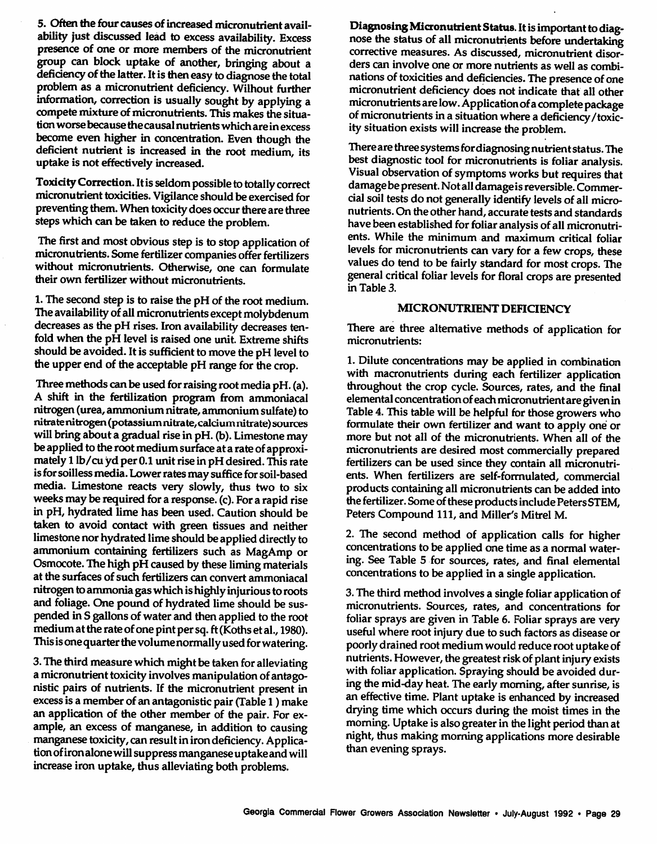5. Often the four causes of increased micronutrient availability just discussed lead to excess availability. Excess presence of one or more members of the micronutrient group can block uptake of another, bringing about a deficiency of the latter. It is then easy to diagnose the total problem as a micronutrient deficiency. Wilhout further information, correction is usually sought by applying a compete mixture of micronutrients. This makes the situation worse because the causal nutrients which are in excess become even higher in concentration. Even though the deficient nutrient is increased in the root medium, its uptake is not effectively increased.

Toxicity Correction. It is seldom possible to totally correct micronutrient toxicities. Vigilance should be exercised for preventing them. When toxicity does occur there are three steps which can be taken to reduce the problem.

The first and most obvious step is to stop application of micronutrients. Some fertilizer companies offer fertilizers without micronutrients. Otherwise, one can formulate their own fertilizer without micronutrients.

1. The second step is to raise the pH of the root medium. The availability of all micronutrients except molybdenum decreases as the pH rises. Iron availability decreases tenfold when the pH level is raised one unit. Extreme shifts should be avoided. It is sufficient to move the pH level to the upper end of the acceptable pH range for the crop.

Three methods can be used for raising root media pH. (a). A shift in the fertilization program from ammoniacal nitrogen (urea, ammonium nitrate, ammonium sulfate) to nitrate nitrogen (potassiumnitrate,calciumnitrate)sources will bring about a gradual rise in pH. (b). Limestone may be applied to the root medium surface at a rate of approximately 1 lb/cu yd per 0.1 unit rise in pH desired. This rate is for soilless media. Lower rates may suffice for soil-based media. Limestone reacts very slowly, thus two to six weeks may be required for a response. (c). For a rapid rise in pH, hydrated lime has been used. Caution should be taken to avoid contact with green tissues and neither limestone nor hydrated lime should be applied directly to ammonium containing fertilizers such as MagAmp or Osmocote. The high pH caused by these liming materials at the surfaces of such fertilizers can convert ammoniacal nitrogen to ammonia gas which is highly injurious to roots and foliage. One pound of hydrated lime should be sus pended in S gallons of water and then applied to the root medium at the rate of one pint per sq. ft (Koths et al., 1980). This is one quarter the volume normally used for watering.

3. The third measure which might be taken for alleviating a micronutrient toxicity involves manipulation of antagonistic pairs of nutrients. If the micronutrient present in excessis a member of an antagonistic pair (Table1) make an application of the other member of the pair. For ex ample, an excess of manganese, in addition to causing manganese toxicity, can result in iron deficiency. Application of iron alone will suppress manganese uptake and will increase iron uptake, thus alleviating both problems.

**Diagnosing Micronutrient Status. It is important to diag**nose the status of all micronutrients before undertaking corrective measures. As discussed, micronutrient disor ders can involve one or more nutrients as well as combi nations of toxicities and deficiencies. The presence of one micronutrient deficiency does not indicate that all other micronutrients are low. Application of a complete package of micronutrients in a situation where a deficiency/toxicity situation exists will increase the problem.

There are three systems for diagnosing nutrient status. The best diagnostic tool for micronutrients is foliar analysis. Visual observation of symptoms works but requires that damage be present. Not all damage is reversible. Commercial soil tests do not generally identify levels of all micronutrients. On the other hand, accurate tests and standards have been established for foliar analysis of all micronutrients. While the minimum and maximum critical foliar levels for micronutrients can vary for a few crops, these values do tend to be fairly standard for most crops. The general critical foliar levels for floral crops are presented in Table 3.

## *MICRONUTRIENT DEFICIENCY*

There are three alternative methods of application for micronutrients:

1. Dilute concentrations may be applied in combination with macronutrients during each fertilizer application throughout the crop cycle. Sources, rates, and the final elemental concentrationofeachmicronutrientaregivenin Table 4. This table will be helpful for those growers who formulate their own fertilizer and want to apply one or more but not all of the micronutrients. When all of the micronutrients are desired most commercially prepared fertilizers can be used since they contain all micronutri ents. When fertilizers are self-forrnulated, commercial products containing all micronutrients can be added into the fertilizer. Some of these products include Peters STEM, Peters Compound 111, and Miller's Mitrel M.

2. The second method of application calls for higher concentrations to be applied one time as a normal water ing. See Table 5 for sources, rates, and final elemental concentrations to be applied in a single application.

3. The third method involves a single foliar application of micronutrients. Sources, rates, and concentrations for foliar sprays are given in Table 6. Foliar sprays are very useful where root injury due to such factors as disease or poorlydrained root medium would reduce root uptakeof nutrients. However, the greatest risk of plant injury exists with foliar application. Spraying should be avoided dur ing the mid-day heat. The early morning, after sunrise, is an effective time. Plant uptake is enhanced by increased drying time which occurs during the moist times in the morning.Uptake is also greater in the light period than at night, thus making morning applications more desirable than evening sprays.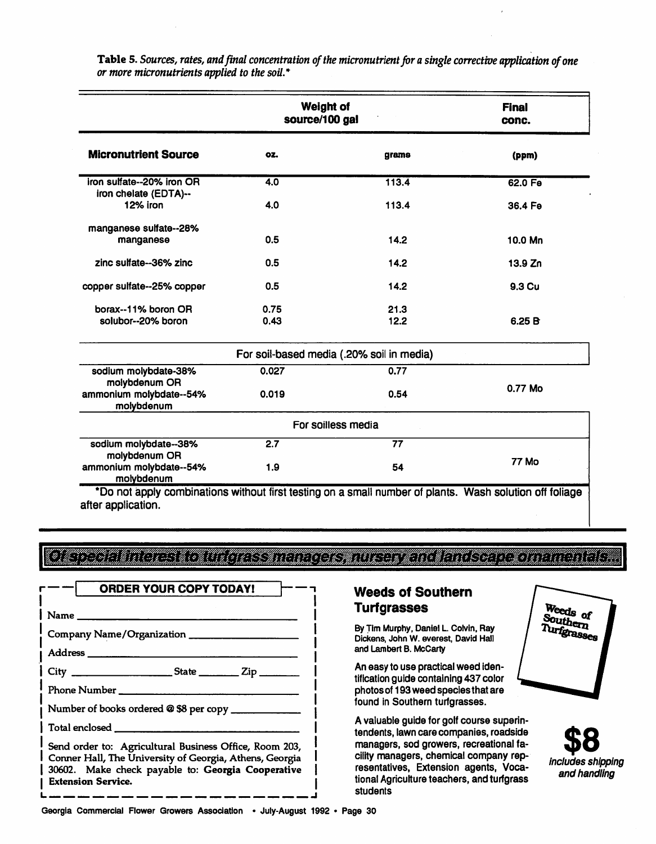|                                                    | <b>Weight of</b><br>source/100 gal |                                           | <b>Final</b><br>conc. |  |
|----------------------------------------------------|------------------------------------|-------------------------------------------|-----------------------|--|
| <b>Micronutrient Source</b>                        | OZ.                                | grams                                     | (ppm)                 |  |
| iron sulfate--20% iron OR<br>iron chelate (EDTA)-- | $\overline{4.0}$                   | 113.4                                     | 62.0 Fe               |  |
| 12% iron                                           | 4.0                                | 113.4                                     | 36.4 Fe               |  |
| manganese sulfate--28%<br>manganese                | 0.5                                | 14.2                                      | 10.0 Mn               |  |
| zinc sulfate--36% zinc                             | 0.5                                | 14.2                                      | 13.9 Zn               |  |
| copper sulfate--25% copper                         | 0.5                                | 14.2                                      | 9.3 Cu                |  |
| borax--11% boron OR                                | 0.75                               | 21.3                                      |                       |  |
| solubor--20% boron                                 | 0.43                               | 12.2                                      | 6.25B                 |  |
|                                                    |                                    | For soil-based media (.20% soil in media) |                       |  |
| sodium molybdate-38%<br>molybdenum OR              | 0.027                              | 0.77                                      |                       |  |
| ammonium molybdate--54%<br>molybdenum              | 0.019                              | 0.54                                      | 0.77 Mo               |  |
|                                                    |                                    | For soilless media                        |                       |  |
| sodium molybdate--38%<br>molybdenum OR             | 2.7                                | 77                                        |                       |  |
| ammonium molybdate--54%<br>molybdenum              | 1.9                                | 54                                        | <b>77 Mo</b>          |  |

*Table* 5.**Sources, rates, andfinal concentration ofthe micronutrientfor asingle corrective application ofone or more micronutrients applied to thesoil.\***

\*Do not apply combinations without first testing on a small number of plants. Wash solution off foliage after application.

**igzm** *l¥3c%S\*¥\*:i%«*

| <b>ORDER YOUR COPY TODAY!</b>                                                                                                                                                                       |  |  |  |  |
|-----------------------------------------------------------------------------------------------------------------------------------------------------------------------------------------------------|--|--|--|--|
|                                                                                                                                                                                                     |  |  |  |  |
|                                                                                                                                                                                                     |  |  |  |  |
|                                                                                                                                                                                                     |  |  |  |  |
|                                                                                                                                                                                                     |  |  |  |  |
| Phone Number                                                                                                                                                                                        |  |  |  |  |
| Number of books ordered @ \$8 per copy _____________                                                                                                                                                |  |  |  |  |
|                                                                                                                                                                                                     |  |  |  |  |
| Send order to: Agricultural Business Office, Room 203,<br>Conner Hall, The University of Georgia, Athens, Georgia<br>30602. Make check payable to: Georgia Cooperative<br><b>Extension Service.</b> |  |  |  |  |

## *Weeds of Southern Turfgrasses*

*By Tim Murphy, Daniel L Colvin, Ray Dickens, John W. everest, David Hall and Lambert B. McCarty*

*An easy to use practicalweed iden tification guide containing 437 color photos of 193weed speciesthat are found in Southern turfgrasses.*

*A valuable guide for golf course superin tendents, lawn care companies, roadside managers, sod growers, recreational fa cility managers, chemical company rep resentatives, Extension agents, Voca tional Agriculture teachers, and turfgrass students*



*\$8 Includes shipping and handling*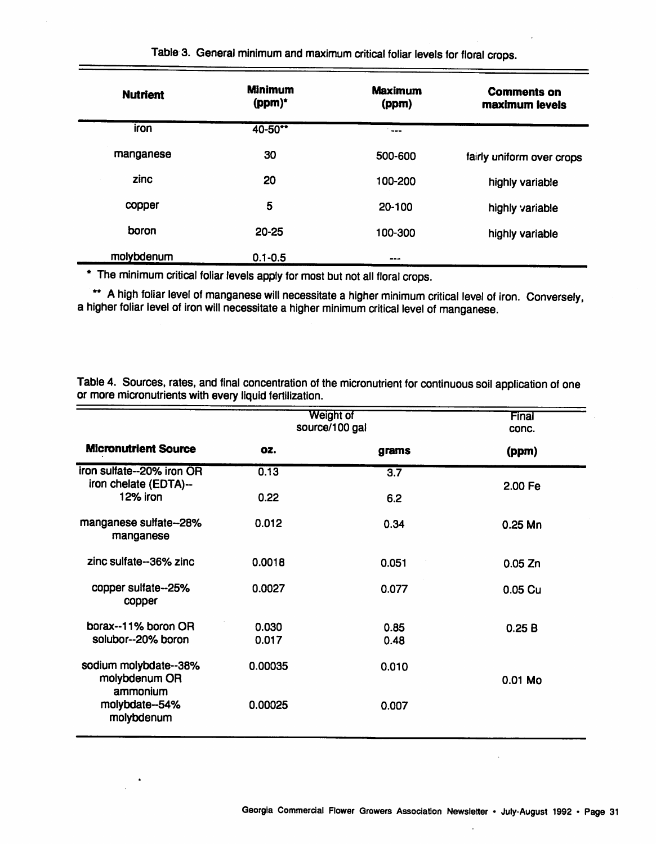| <b>Nutrient</b> | <b>Minimum</b><br>(ppm)* | <b>Maximum</b><br>(ppm) | <b>Comments on</b><br>maximum levels |
|-----------------|--------------------------|-------------------------|--------------------------------------|
| iron            | 40-50**                  | . <b></b>               |                                      |
| manganese       | 30                       | 500-600                 | fairly uniform over crops            |
| zinc            | 20                       | 100-200                 | highly variable                      |
| copper          | 5                        | 20-100                  | highly variable                      |
| boron           | $20 - 25$                | 100-300                 | highly variable                      |
| molybdenum      | $0.1 - 0.5$              | ---                     |                                      |

Table 3. General minimum and maximum critical foliar levels for floral crops.

\* The minimum critical foliar levels apply for most but not all floral crops.

\*\* A high foliar level of manganese will necessitate a higher minimum critical level of iron. Conversely, a higher foliar level of iron will necessitate a higher minimum critical level of manganese.

Table 4. Sources, rates, and final concentration of the micronutrient for continuous soil application of one or more micronutrients with every liquid fertilization.

|                                                    | Weight of<br>source/100 gal |                  | Final<br>conc. |  |
|----------------------------------------------------|-----------------------------|------------------|----------------|--|
| <b>Micronutrient Source</b>                        | OZ.                         | grams            | (ppm)          |  |
| iron sulfate--20% iron OR<br>iron chelate (EDTA)-- | 0.13                        | $\overline{3.7}$ | 2.00 Fe        |  |
| 12% iron                                           | 0.22                        | 6.2              |                |  |
| manganese sulfate--28%<br>manganese                | 0.012                       | 0.34             | $0.25$ Mn      |  |
| zinc sulfate--36% zinc                             | 0.0018                      | 0.051            | 0.05 Zn        |  |
| copper sulfate--25%<br>copper                      | 0.0027                      | 0.077            | 0.05 Cu        |  |
| borax--11% boron OR                                | 0.030                       | 0.85             | 0.25B          |  |
| solubor--20% boron                                 | 0.017                       | 0.48             |                |  |
| sodium molybdate--38%<br>molybdenum OR<br>ammonium | 0.00035                     | 0.010            | 0.01 Mo        |  |
| molybdate--54%<br>molybdenum                       | 0.00025                     | 0.007            |                |  |